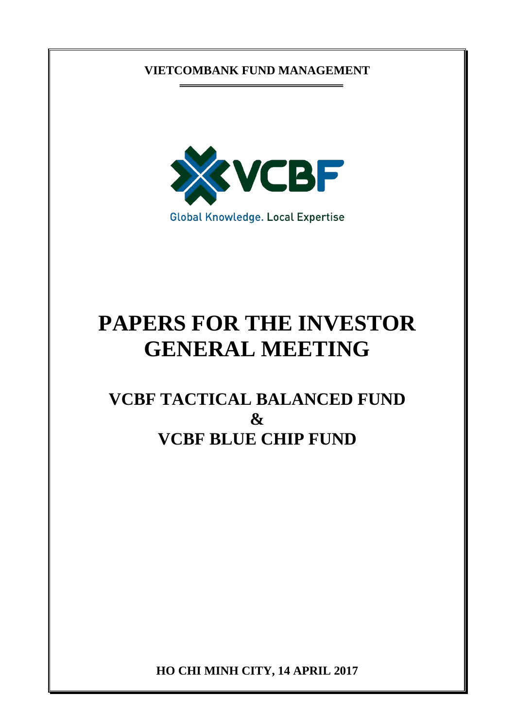# **VIETCOMBANK FUND MANAGEMENT**



# **PAPERS FOR THE INVESTOR GENERAL MEETING**

# **VCBF TACTICAL BALANCED FUND & VCBF BLUE CHIP FUND**

**HO CHI MINH CITY, 14 APRIL 2017**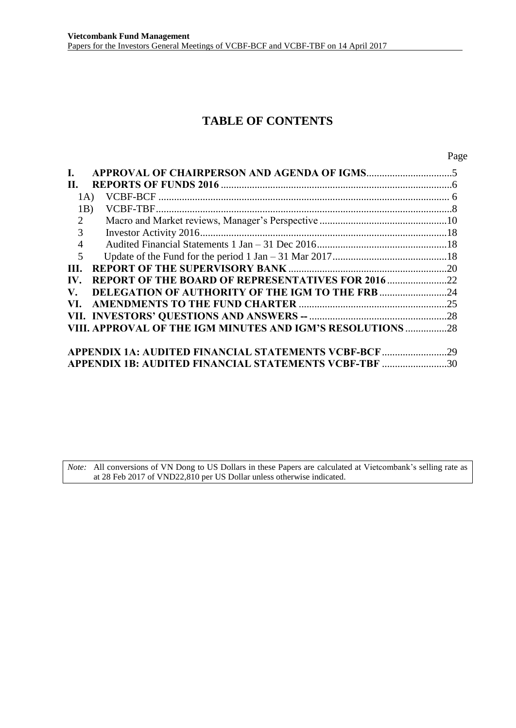# **TABLE OF CONTENTS**

| $\mathbf{I}$ . |                                                            |  |
|----------------|------------------------------------------------------------|--|
| П.             |                                                            |  |
| 1A)            |                                                            |  |
| 1B)            |                                                            |  |
| 2              |                                                            |  |
| 3              |                                                            |  |
| $\overline{4}$ |                                                            |  |
| 5              |                                                            |  |
| III.           |                                                            |  |
| IV.            | <b>REPORT OF THE BOARD OF REPRESENTATIVES FOR 2016 22</b>  |  |
| V.             | <b>DELEGATION OF AUTHORITY OF THE IGM TO THE FRB 24</b>    |  |
| VI.            |                                                            |  |
|                |                                                            |  |
|                | VIII. APPROVAL OF THE IGM MINUTES AND IGM'S RESOLUTIONS 28 |  |
|                |                                                            |  |
|                |                                                            |  |
|                | APPENDIX 1B: AUDITED FINANCIAL STATEMENTS VCBF-TBF 30      |  |

*Note:* All conversions of VN Dong to US Dollars in these Papers are calculated at Vietcombank's selling rate as at 28 Feb 2017 of VND22,810 per US Dollar unless otherwise indicated.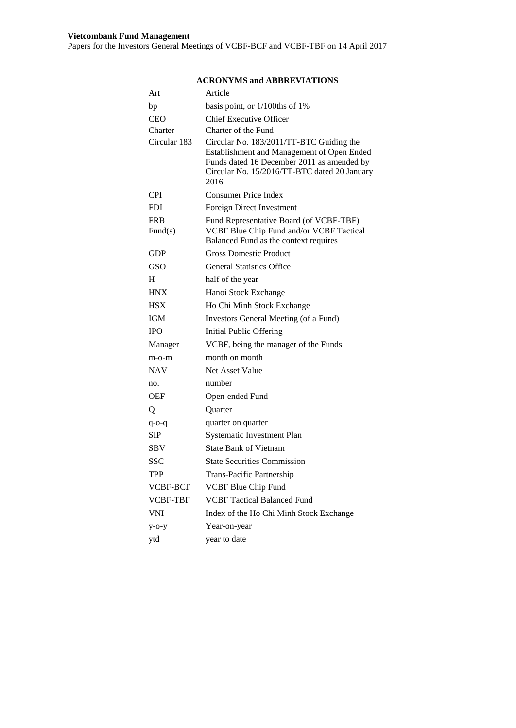| Art                   | Article                                                                                                                                                                                      |  |  |
|-----------------------|----------------------------------------------------------------------------------------------------------------------------------------------------------------------------------------------|--|--|
| bp                    | basis point, or $1/100$ ths of 1%                                                                                                                                                            |  |  |
| <b>CEO</b>            | <b>Chief Executive Officer</b>                                                                                                                                                               |  |  |
| Charter               | Charter of the Fund                                                                                                                                                                          |  |  |
| Circular 183          | Circular No. 183/2011/TT-BTC Guiding the<br>Establishment and Management of Open Ended<br>Funds dated 16 December 2011 as amended by<br>Circular No. 15/2016/TT-BTC dated 20 January<br>2016 |  |  |
| <b>CPI</b>            | <b>Consumer Price Index</b>                                                                                                                                                                  |  |  |
| <b>FDI</b>            | Foreign Direct Investment                                                                                                                                                                    |  |  |
| <b>FRB</b><br>Fund(s) | Fund Representative Board (of VCBF-TBF)<br>VCBF Blue Chip Fund and/or VCBF Tactical<br>Balanced Fund as the context requires                                                                 |  |  |
| GDP                   | <b>Gross Domestic Product</b>                                                                                                                                                                |  |  |
| GSO                   | <b>General Statistics Office</b>                                                                                                                                                             |  |  |
| H                     | half of the year                                                                                                                                                                             |  |  |
| <b>HNX</b>            | Hanoi Stock Exchange                                                                                                                                                                         |  |  |
| <b>HSX</b>            | Ho Chi Minh Stock Exchange                                                                                                                                                                   |  |  |
| <b>IGM</b>            | Investors General Meeting (of a Fund)                                                                                                                                                        |  |  |
| <b>IPO</b>            | <b>Initial Public Offering</b>                                                                                                                                                               |  |  |
| Manager               | VCBF, being the manager of the Funds                                                                                                                                                         |  |  |
| m-o-m                 | month on month                                                                                                                                                                               |  |  |
| <b>NAV</b>            | Net Asset Value                                                                                                                                                                              |  |  |
| no.                   | number                                                                                                                                                                                       |  |  |
| <b>OEF</b>            | Open-ended Fund                                                                                                                                                                              |  |  |
| Q                     | Quarter                                                                                                                                                                                      |  |  |
| q-o-q                 | quarter on quarter                                                                                                                                                                           |  |  |
| SIP                   | <b>Systematic Investment Plan</b>                                                                                                                                                            |  |  |
| SBV                   | <b>State Bank of Vietnam</b>                                                                                                                                                                 |  |  |
| <b>SSC</b>            | <b>State Securities Commission</b>                                                                                                                                                           |  |  |
| <b>TPP</b>            | Trans-Pacific Partnership                                                                                                                                                                    |  |  |
| VCBF-BCF              | <b>VCBF Blue Chip Fund</b>                                                                                                                                                                   |  |  |
| <b>VCBF-TBF</b>       | <b>VCBF Tactical Balanced Fund</b>                                                                                                                                                           |  |  |
| <b>VNI</b>            | Index of the Ho Chi Minh Stock Exchange                                                                                                                                                      |  |  |
| $y$ -o-y              | Year-on-year                                                                                                                                                                                 |  |  |
| ytd                   | year to date                                                                                                                                                                                 |  |  |

#### **ACRONYMS and ABBREVIATIONS**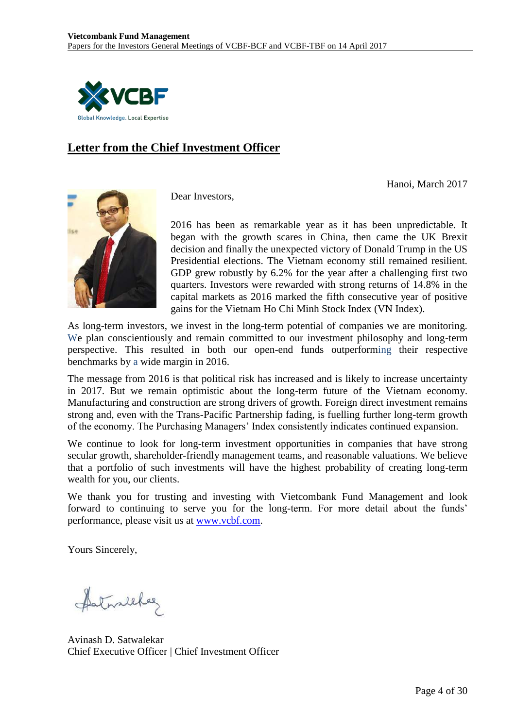

# **Letter from the Chief Investment Officer**

Hanoi, March 2017



Dear Investors,

2016 has been as remarkable year as it has been unpredictable. It began with the growth scares in China, then came the UK Brexit decision and finally the unexpected victory of Donald Trump in the US Presidential elections. The Vietnam economy still remained resilient. GDP grew robustly by 6.2% for the year after a challenging first two quarters. Investors were rewarded with strong returns of 14.8% in the capital markets as 2016 marked the fifth consecutive year of positive gains for the Vietnam Ho Chi Minh Stock Index (VN Index).

As long-term investors, we invest in the long-term potential of companies we are monitoring. We plan conscientiously and remain committed to our investment philosophy and long-term perspective. This resulted in both our open-end funds outperforming their respective benchmarks by a wide margin in 2016.

The message from 2016 is that political risk has increased and is likely to increase uncertainty in 2017. But we remain optimistic about the long-term future of the Vietnam economy. Manufacturing and construction are strong drivers of growth. Foreign direct investment remains strong and, even with the Trans-Pacific Partnership fading, is fuelling further long-term growth of the economy. The Purchasing Managers' Index consistently indicates continued expansion.

We continue to look for long-term investment opportunities in companies that have strong secular growth, shareholder-friendly management teams, and reasonable valuations. We believe that a portfolio of such investments will have the highest probability of creating long-term wealth for you, our clients.

We thank you for trusting and investing with Vietcombank Fund Management and look forward to continuing to serve you for the long-term. For more detail about the funds' performance, please visit us at [www.vcbf.com.](http://www.vcbf.com/)

Yours Sincerely,

fatureleles

Avinash D. Satwalekar Chief Executive Officer | Chief Investment Officer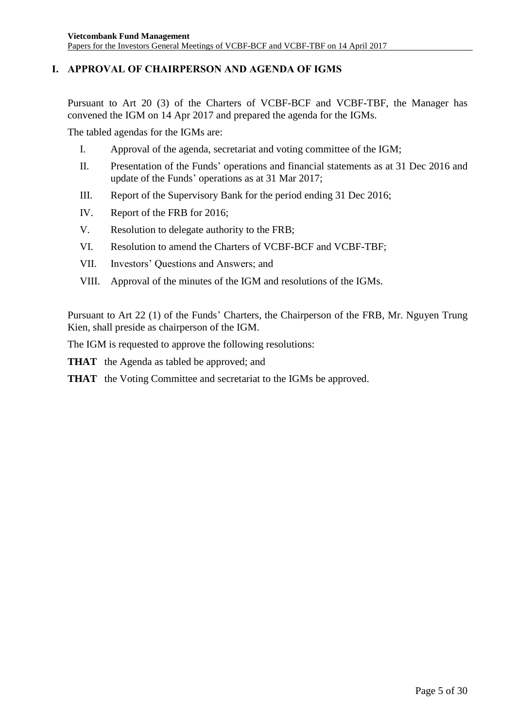# <span id="page-4-0"></span>**I. APPROVAL OF CHAIRPERSON AND AGENDA OF IGMS**

Pursuant to Art 20 (3) of the Charters of VCBF-BCF and VCBF-TBF, the Manager has convened the IGM on 14 Apr 2017 and prepared the agenda for the IGMs.

The tabled agendas for the IGMs are:

- I. Approval of the agenda, secretariat and voting committee of the IGM;
- II. Presentation of the Funds' operations and financial statements as at 31 Dec 2016 and update of the Funds' operations as at 31 Mar 2017;
- III. Report of the Supervisory Bank for the period ending 31 Dec 2016;
- IV. Report of the FRB for 2016;
- V. Resolution to delegate authority to the FRB;
- VI. Resolution to amend the Charters of VCBF-BCF and VCBF-TBF;
- VII. Investors' Questions and Answers; and
- VIII. Approval of the minutes of the IGM and resolutions of the IGMs.

Pursuant to Art 22 (1) of the Funds' Charters, the Chairperson of the FRB, Mr. Nguyen Trung Kien, shall preside as chairperson of the IGM.

The IGM is requested to approve the following resolutions:

**THAT** the Agenda as tabled be approved; and

**THAT** the Voting Committee and secretariat to the IGMs be approved.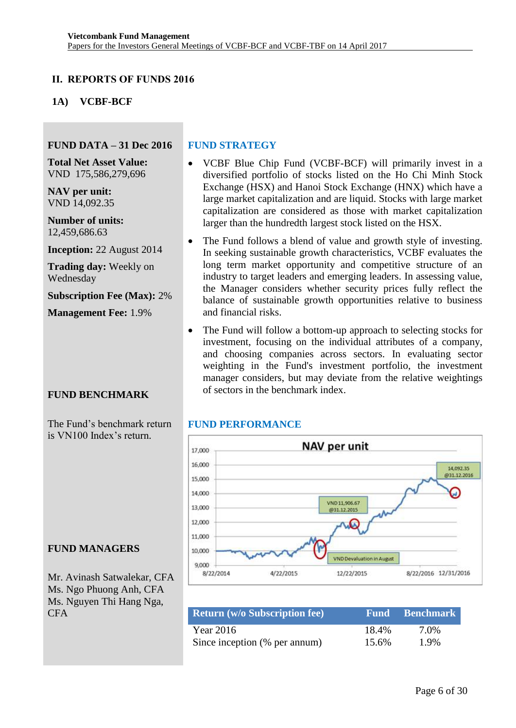## <span id="page-5-0"></span>**II. REPORTS OF FUNDS 2016**

## <span id="page-5-1"></span>**1A) VCBF-BCF**

#### **FUND DATA – 31 Dec 2016**

**Total Net Asset Value:** VND 175,586,279,696

**NAV per unit:** VND 14,092.35

**Number of units:** 12,459,686.63

**Inception:** 22 August 2014

**Trading day:** Weekly on Wednesday

**Subscription Fee (Max):** 2%

**Management Fee:** 1.9%

#### **FUND BENCHMARK**

The Fund's benchmark return is VN100 Index's return.

#### **FUND STRATEGY**

- VCBF Blue Chip Fund (VCBF-BCF) will primarily invest in a diversified portfolio of stocks listed on the Ho Chi Minh Stock Exchange (HSX) and Hanoi Stock Exchange (HNX) which have a large market capitalization and are liquid. Stocks with large market capitalization are considered as those with market capitalization larger than the hundredth largest stock listed on the HSX.
- The Fund follows a blend of value and growth style of investing. In seeking sustainable growth characteristics, VCBF evaluates the long term market opportunity and competitive structure of an industry to target leaders and emerging leaders. In assessing value, the Manager considers whether security prices fully reflect the balance of sustainable growth opportunities relative to business and financial risks.
- The Fund will follow a bottom-up approach to selecting stocks for investment, focusing on the individual attributes of a company, and choosing companies across sectors. In evaluating sector weighting in the Fund's investment portfolio, the investment manager considers, but may deviate from the relative weightings of sectors in the benchmark index.

#### **FUND PERFORMANCE**



| <b>Return (w/o Subscription fee)</b> |       | <b>Fund Benchmark</b> |
|--------------------------------------|-------|-----------------------|
| Year 2016                            | 18.4% | 7.0%                  |
| Since inception (% per annum)        | 15.6% | 1.9%                  |

#### **FUND MANAGERS**

Mr. Avinash Satwalekar, CFA Ms. Ngo Phuong Anh, CFA Ms. Nguyen Thi Hang Nga, CFA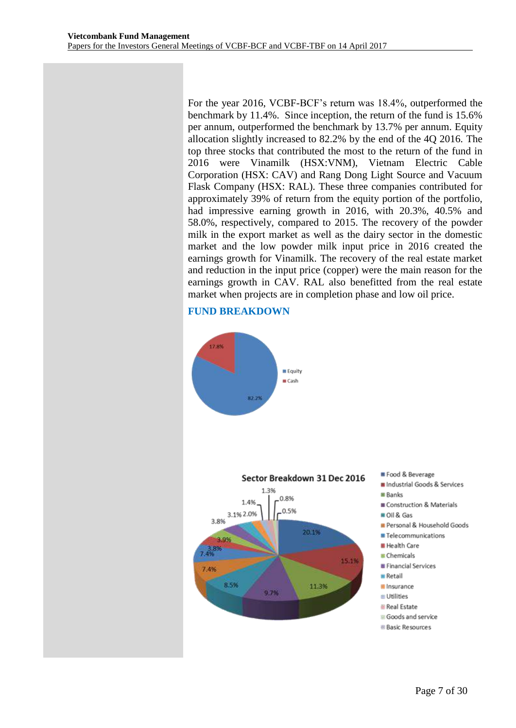For the year 2016, VCBF-BCF's return was 18.4%, outperformed the benchmark by 11.4%. Since inception, the return of the fund is 15.6% per annum, outperformed the benchmark by 13.7% per annum. Equity allocation slightly increased to 82.2% by the end of the 4Q 2016. The top three stocks that contributed the most to the return of the fund in 2016 were Vinamilk (HSX:VNM), Vietnam Electric Cable Corporation (HSX: CAV) and Rang Dong Light Source and Vacuum Flask Company (HSX: RAL). These three companies contributed for approximately 39% of return from the equity portion of the portfolio, had impressive earning growth in 2016, with 20.3%, 40.5% and 58.0%, respectively, compared to 2015. The recovery of the powder milk in the export market as well as the dairy sector in the domestic market and the low powder milk input price in 2016 created the earnings growth for Vinamilk. The recovery of the real estate market and reduction in the input price (copper) were the main reason for the earnings growth in CAV. RAL also benefitted from the real estate market when projects are in completion phase and low oil price.

#### **FUND BREAKDOWN**

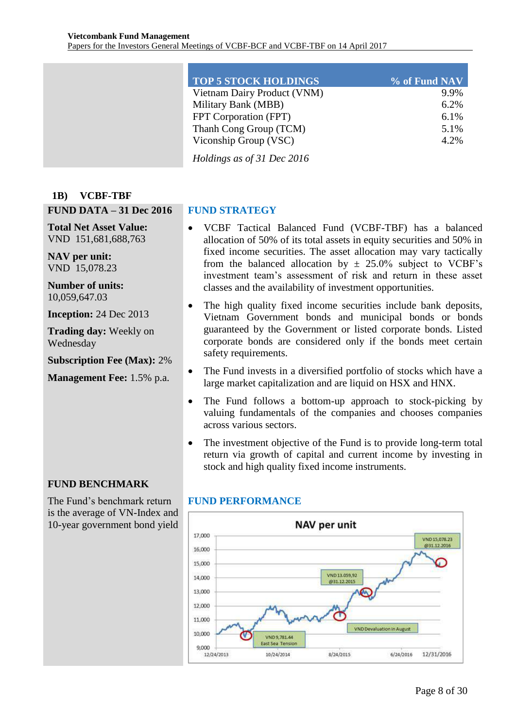| <b>TOP 5 STOCK HOLDINGS</b> | $\%$ of Fund NAV |
|-----------------------------|------------------|
| Vietnam Dairy Product (VNM) | 9.9%             |
| Military Bank (MBB)         | 6.2%             |
| FPT Corporation (FPT)       | 6.1%             |
| Thanh Cong Group (TCM)      | 5.1%             |
| Viconship Group (VSC)       | 4.2%             |
|                             |                  |

*Holdings as of 31 Dec 2016*

#### <span id="page-7-0"></span>**1B) VCBF-TBF**

#### **FUND DATA – 31 Dec 2016**

**Total Net Asset Value:** VND 151,681,688,763

**NAV per unit:** VND 15,078.23

**Number of units:** 10,059,647.03

**Inception:** 24 Dec 2013

**Trading day:** Weekly on Wednesday

**Subscription Fee (Max):** 2%

**Management Fee:** 1.5% p.a.

# **FUND STRATEGY**

- VCBF Tactical Balanced Fund (VCBF-TBF) has a balanced allocation of 50% of its total assets in equity securities and 50% in fixed income securities. The asset allocation may vary tactically from the balanced allocation by  $\pm$  25.0% subject to VCBF's investment team's assessment of risk and return in these asset classes and the availability of investment opportunities.
- The high quality fixed income securities include bank deposits, Vietnam Government bonds and municipal bonds or bonds guaranteed by the Government or listed corporate bonds. Listed corporate bonds are considered only if the bonds meet certain safety requirements.
- The Fund invests in a diversified portfolio of stocks which have a large market capitalization and are liquid on HSX and HNX.
- The Fund follows a bottom-up approach to stock-picking by valuing fundamentals of the companies and chooses companies across various sectors.
- The investment objective of the Fund is to provide long-term total return via growth of capital and current income by investing in stock and high quality fixed income instruments.

#### **FUND BENCHMARK**

The Fund's benchmark return is the average of VN-Index and 10-year government bond yield

#### **FUND PERFORMANCE**

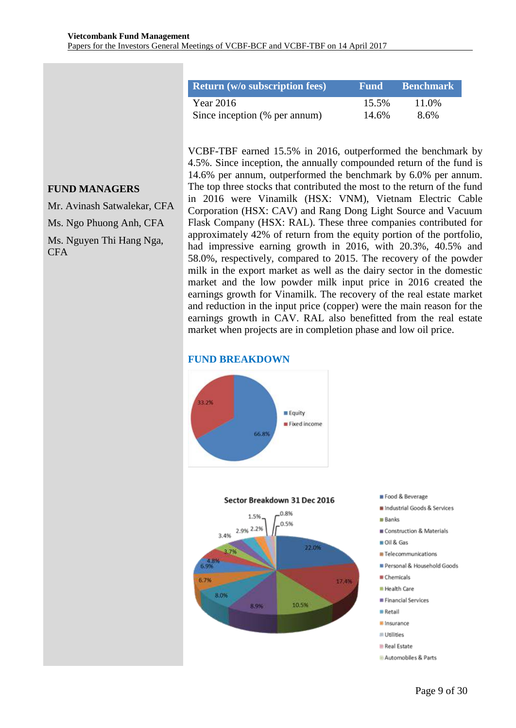| <b>Return</b> (w/o subscription fees) | Fund  | <b>Benchmark</b> |
|---------------------------------------|-------|------------------|
| Year $2016$                           | 15.5% | 11.0%            |
| Since inception (% per annum)         | 14.6% | 8.6%             |

# **FUND MANAGERS**

Mr. Avinash Satwalekar, CFA Ms. Ngo Phuong Anh, CFA Ms. Nguyen Thi Hang Nga, **CFA** 

VCBF-TBF earned 15.5% in 2016, outperformed the benchmark by 4.5%. Since inception, the annually compounded return of the fund is 14.6% per annum, outperformed the benchmark by 6.0% per annum. The top three stocks that contributed the most to the return of the fund in 2016 were Vinamilk (HSX: VNM), Vietnam Electric Cable Corporation (HSX: CAV) and Rang Dong Light Source and Vacuum Flask Company (HSX: RAL). These three companies contributed for approximately 42% of return from the equity portion of the portfolio, had impressive earning growth in 2016, with 20.3%, 40.5% and 58.0%, respectively, compared to 2015. The recovery of the powder milk in the export market as well as the dairy sector in the domestic market and the low powder milk input price in 2016 created the earnings growth for Vinamilk. The recovery of the real estate market and reduction in the input price (copper) were the main reason for the earnings growth in CAV. RAL also benefitted from the real estate market when projects are in completion phase and low oil price.

#### **FUND BREAKDOWN**

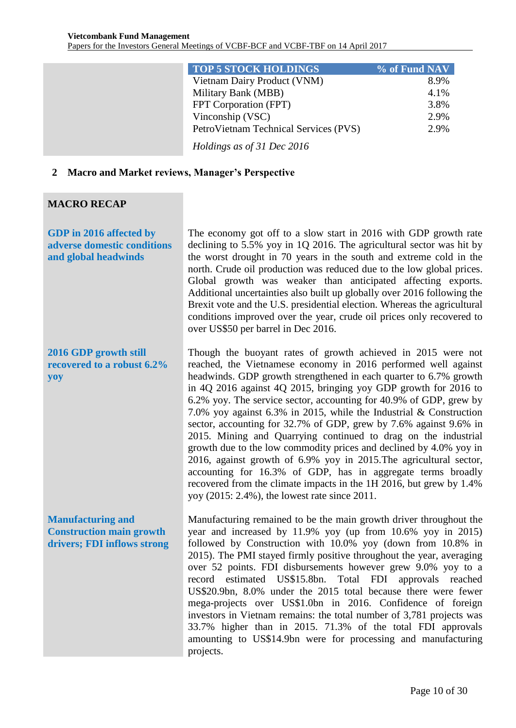| <b>TOP 5 STOCK HOLDINGS</b>           | % of Fund NAV |
|---------------------------------------|---------------|
| Vietnam Dairy Product (VNM)           | 8.9%          |
| Military Bank (MBB)                   | 4.1%          |
| FPT Corporation (FPT)                 | 3.8%          |
| Vinconship (VSC)                      | 2.9%          |
| PetroVietnam Technical Services (PVS) | 2.9%          |
| Holdings as of 31 Dec 2016            |               |

#### <span id="page-9-0"></span>**2 Macro and Market reviews, Manager's Perspective**

#### **MACRO RECAP**

**GDP in 2016 affected by adverse domestic conditions and global headwinds**

**2016 GDP growth still recovered to a robust 6.2% yoy**

**Manufacturing and Construction main growth drivers; FDI inflows strong** The economy got off to a slow start in 2016 with GDP growth rate declining to 5.5% yoy in 1Q 2016. The agricultural sector was hit by the worst drought in 70 years in the south and extreme cold in the north. Crude oil production was reduced due to the low global prices. Global growth was weaker than anticipated affecting exports. Additional uncertainties also built up globally over 2016 following the Brexit vote and the U.S. presidential election. Whereas the agricultural conditions improved over the year, crude oil prices only recovered to over US\$50 per barrel in Dec 2016.

Though the buoyant rates of growth achieved in 2015 were not reached, the Vietnamese economy in 2016 performed well against headwinds. GDP growth strengthened in each quarter to 6.7% growth in 4Q 2016 against 4Q 2015, bringing yoy GDP growth for 2016 to 6.2% yoy. The service sector, accounting for 40.9% of GDP, grew by 7.0% yoy against 6.3% in 2015, while the Industrial & Construction sector, accounting for 32.7% of GDP, grew by 7.6% against 9.6% in 2015. Mining and Quarrying continued to drag on the industrial growth due to the low commodity prices and declined by 4.0% yoy in 2016, against growth of 6.9% yoy in 2015.The agricultural sector, accounting for 16.3% of GDP, has in aggregate terms broadly recovered from the climate impacts in the 1H 2016, but grew by 1.4% yoy (2015: 2.4%), the lowest rate since 2011.

Manufacturing remained to be the main growth driver throughout the year and increased by 11.9% yoy (up from 10.6% yoy in 2015) followed by Construction with 10.0% yoy (down from 10.8% in 2015). The PMI stayed firmly positive throughout the year, averaging over 52 points. FDI disbursements however grew 9.0% yoy to a record estimated US\$15.8bn. Total FDI approvals reached US\$20.9bn, 8.0% under the 2015 total because there were fewer mega-projects over US\$1.0bn in 2016. Confidence of foreign investors in Vietnam remains: the total number of 3,781 projects was 33.7% higher than in 2015. 71.3% of the total FDI approvals amounting to US\$14.9bn were for processing and manufacturing projects.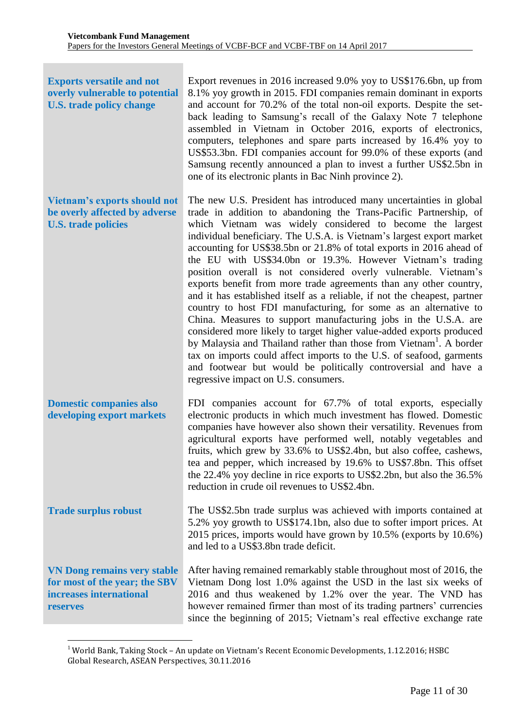| <b>Exports versatile and not</b><br>overly vulnerable to potential<br><b>U.S. trade policy change</b>      | Export revenues in 2016 increased 9.0% yoy to US\$176.6bn, up from<br>8.1% yoy growth in 2015. FDI companies remain dominant in exports<br>and account for 70.2% of the total non-oil exports. Despite the set-<br>back leading to Samsung's recall of the Galaxy Note 7 telephone<br>assembled in Vietnam in October 2016, exports of electronics,<br>computers, telephones and spare parts increased by 16.4% yoy to<br>US\$53.3bn. FDI companies account for 99.0% of these exports (and<br>Samsung recently announced a plan to invest a further US\$2.5bn in<br>one of its electronic plants in Bac Ninh province 2).                                                                                                                                                                                                                                                                                                                                                                                                                                                                                                    |
|------------------------------------------------------------------------------------------------------------|-------------------------------------------------------------------------------------------------------------------------------------------------------------------------------------------------------------------------------------------------------------------------------------------------------------------------------------------------------------------------------------------------------------------------------------------------------------------------------------------------------------------------------------------------------------------------------------------------------------------------------------------------------------------------------------------------------------------------------------------------------------------------------------------------------------------------------------------------------------------------------------------------------------------------------------------------------------------------------------------------------------------------------------------------------------------------------------------------------------------------------|
| <b>Vietnam's exports should not</b><br>be overly affected by adverse<br><b>U.S. trade policies</b>         | The new U.S. President has introduced many uncertainties in global<br>trade in addition to abandoning the Trans-Pacific Partnership, of<br>which Vietnam was widely considered to become the largest<br>individual beneficiary. The U.S.A. is Vietnam's largest export market<br>accounting for US\$38.5bn or 21.8% of total exports in 2016 ahead of<br>the EU with US\$34.0bn or 19.3%. However Vietnam's trading<br>position overall is not considered overly vulnerable. Vietnam's<br>exports benefit from more trade agreements than any other country,<br>and it has established itself as a reliable, if not the cheapest, partner<br>country to host FDI manufacturing, for some as an alternative to<br>China. Measures to support manufacturing jobs in the U.S.A. are<br>considered more likely to target higher value-added exports produced<br>by Malaysia and Thailand rather than those from Vietnam <sup>1</sup> . A border<br>tax on imports could affect imports to the U.S. of seafood, garments<br>and footwear but would be politically controversial and have a<br>regressive impact on U.S. consumers. |
| <b>Domestic companies also</b><br>developing export markets                                                | FDI companies account for 67.7% of total exports, especially<br>electronic products in which much investment has flowed. Domestic<br>companies have however also shown their versatility. Revenues from<br>agricultural exports have performed well, notably vegetables and<br>fruits, which grew by 33.6% to US\$2.4bn, but also coffee, cashews,<br>tea and pepper, which increased by 19.6% to US\$7.8bn. This offset<br>the 22.4% yoy decline in rice exports to US\$2.2bn, but also the 36.5%<br>reduction in crude oil revenues to US\$2.4bn.                                                                                                                                                                                                                                                                                                                                                                                                                                                                                                                                                                           |
| <b>Trade surplus robust</b>                                                                                | The US\$2.5bn trade surplus was achieved with imports contained at<br>5.2% yoy growth to US\$174.1bn, also due to softer import prices. At<br>2015 prices, imports would have grown by 10.5% (exports by 10.6%)<br>and led to a US\$3.8bn trade deficit.                                                                                                                                                                                                                                                                                                                                                                                                                                                                                                                                                                                                                                                                                                                                                                                                                                                                      |
| <b>VN Dong remains very stable</b><br>for most of the year; the SBV<br>increases international<br>reserves | After having remained remarkably stable throughout most of 2016, the<br>Vietnam Dong lost 1.0% against the USD in the last six weeks of<br>2016 and thus weakened by 1.2% over the year. The VND has<br>however remained firmer than most of its trading partners' currencies<br>since the beginning of 2015; Vietnam's real effective exchange rate                                                                                                                                                                                                                                                                                                                                                                                                                                                                                                                                                                                                                                                                                                                                                                          |

 $1$  World Bank, Taking Stock – An update on Vietnam's Recent Economic Developments, 1.12.2016; HSBC Global Research, ASEAN Perspectives, 30.11.2016

<u>.</u>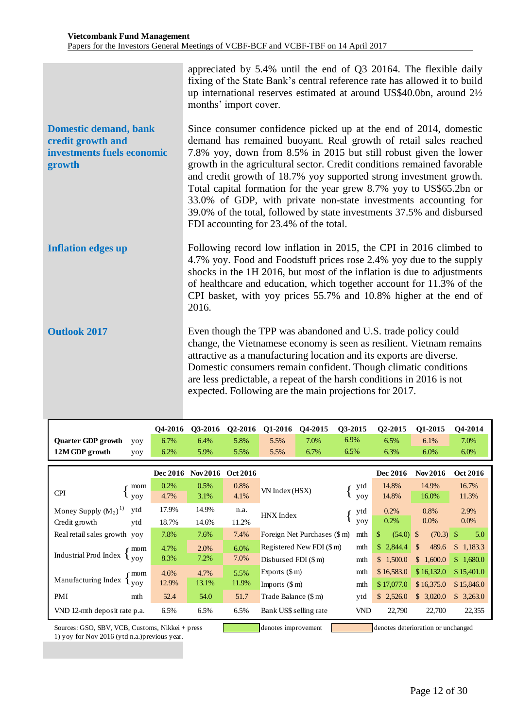|                                                                                           | appreciated by 5.4% until the end of Q3 20164. The flexible daily<br>fixing of the State Bank's central reference rate has allowed it to build<br>up international reserves estimated at around US\$40.0bn, around 21/2<br>months' import cover.                                                                                                                                                                                                                                                                                                                                                                        |
|-------------------------------------------------------------------------------------------|-------------------------------------------------------------------------------------------------------------------------------------------------------------------------------------------------------------------------------------------------------------------------------------------------------------------------------------------------------------------------------------------------------------------------------------------------------------------------------------------------------------------------------------------------------------------------------------------------------------------------|
| <b>Domestic demand, bank</b><br>credit growth and<br>investments fuels economic<br>growth | Since consumer confidence picked up at the end of 2014, domestic<br>demand has remained buoyant. Real growth of retail sales reached<br>7.8% yoy, down from 8.5% in 2015 but still robust given the lower<br>growth in the agricultural sector. Credit conditions remained favorable<br>and credit growth of 18.7% yoy supported strong investment growth.<br>Total capital formation for the year grew 8.7% yoy to US\$65.2bn or<br>33.0% of GDP, with private non-state investments accounting for<br>39.0% of the total, followed by state investments 37.5% and disbursed<br>FDI accounting for 23.4% of the total. |
| <b>Inflation edges up</b>                                                                 | Following record low inflation in 2015, the CPI in 2016 climbed to<br>4.7% yoy. Food and Foodstuff prices rose 2.4% yoy due to the supply<br>shocks in the 1H 2016, but most of the inflation is due to adjustments<br>of healthcare and education, which together account for 11.3% of the<br>CPI basket, with yoy prices 55.7% and 10.8% higher at the end of<br>2016.                                                                                                                                                                                                                                                |
| <b>Outlook 2017</b>                                                                       | Even though the TPP was abandoned and U.S. trade policy could<br>change, the Vietnamese economy is seen as resilient. Vietnam remains<br>attractive as a manufacturing location and its exports are diverse.<br>Domestic consumers remain confident. Though climatic conditions<br>are less predictable, a repeat of the harsh conditions in 2016 is not<br>expected. Following are the main projections for 2017.                                                                                                                                                                                                      |

|                                                                                             | O <sub>4</sub> -2016 | 03-2016         | Q2-2016         | Q1-2016                             | O <sub>4</sub> -2015      | Q3-2015           |             | Q2-2015    | Q1-2015               | Q4-2014    |
|---------------------------------------------------------------------------------------------|----------------------|-----------------|-----------------|-------------------------------------|---------------------------|-------------------|-------------|------------|-----------------------|------------|
| <b>Quarter GDP growth</b><br>yoy                                                            | 6.7%                 | 6.4%            | 5.8%            | 5.5%                                | 7.0%                      | 6.9%              |             | 6.5%       | 6.1%                  | 7.0%       |
| 12M GDP growth<br>yoy                                                                       | 6.2%                 | 5.9%            | 5.5%            | 5.5%                                | 6.7%                      | 6.5%              |             | 6.3%       | 6.0%                  | $6.0\%$    |
|                                                                                             | Dec 2016             | <b>Nov 2016</b> | <b>Oct 2016</b> |                                     |                           |                   |             | Dec 2016   | <b>Nov 2016</b>       | Oct 2016   |
|                                                                                             |                      |                 |                 |                                     |                           |                   |             |            |                       |            |
| mom                                                                                         | 0.2%                 | 0.5%            | 0.8%            | VN Index (HSX)                      |                           |                   | ytd         | 14.8%      | 14.9%                 | 16.7%      |
| <b>CPI</b><br><b>VOV</b>                                                                    | 4.7%                 | 3.1%            | 4.1%            |                                     |                           |                   | yoy         | 14.8%      | 16.0%                 | 11.3%      |
| ytd<br>Money Supply $(M_2)^{1}$                                                             | 17.9%                | 14.9%           | n.a.            | HNX Index                           |                           | ytd               | 0.2%        | 0.8%       | 2.9%                  |            |
| Credit growth<br>ytd                                                                        | 18.7%                | 14.6%           | 11.2%           |                                     |                           |                   | <b>VOV</b>  | 0.2%       | $0.0\%$               | $0.0\%$    |
| Real retail sales growth yoy                                                                | 7.8%                 | 7.6%            | 7.4%            | Foreign Net Purchases (\$ m)<br>mth |                           | \$<br>$(54.0)$ \$ | $(70.3)$ \$ | 5.0        |                       |            |
|                                                                                             | 4.7%                 | 2.0%            | 6.0%            |                                     | Registered New FDI (\$ m) |                   | mth         | \$2,844.4  | $\mathbb{S}$<br>489.6 | \$1,183.3  |
| Industrial Prod Index $\left\{\begin{array}{c} \text{mom} \\ \text{yoy} \end{array}\right.$ | 8.3%                 | 7.2%            | 7.0%            | Disbursed FDI $(\$ m)$              |                           |                   | mth         | \$1,500.0  | \$1,600.0             | \$1,680.0  |
| r mom                                                                                       | 4.6%                 | 4.7%            | 5.5%            | Exports $(\$ m)$                    |                           |                   | mth         | \$16,583.0 | \$16,132.0            | \$15,401.0 |
| Manufacturing Index<br>l voy                                                                | 12.9%                | 13.1%           | 11.9%           | Imports $(\$ m)$                    |                           |                   | mth         | \$17,077.0 | \$16,375.0            | \$15,846.0 |
| PMI<br>mth                                                                                  | 52.4                 | 54.0            | 51.7            | Trade Balance (\$ m)                |                           | ytd               | \$2,526.0   | \$3,020.0  | \$3,263.0             |            |
| VND 12-mth deposit rate p.a.                                                                | 6.5%                 | 6.5%            | 6.5%            | VND<br>Bank US\$ selling rate       |                           | 22,790            | 22,700      | 22,355     |                       |            |

Sources: GSO, SBV, VCB, Customs, Nikkei + press denotes improvement denotes improvement denotes deterioration or unchanged 1) yoy for Nov 2016 (ytd n.a.)previous year.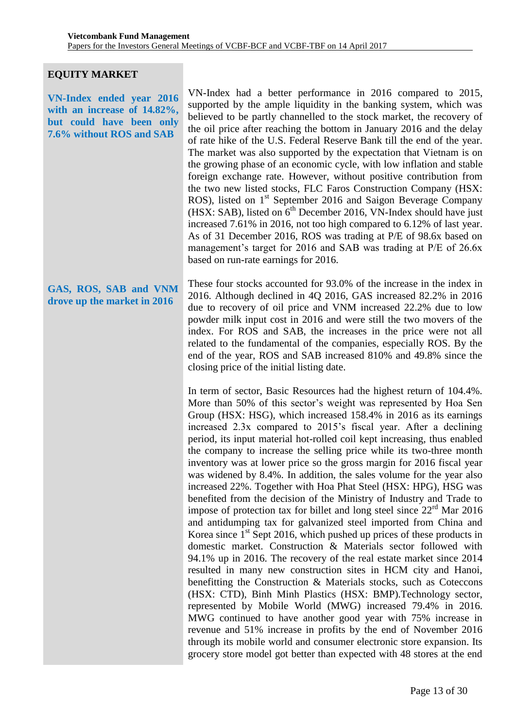#### **EQUITY MARKET**

**VN-Index ended year 2016 with an increase of 14.82%, but could have been only 7.6% without ROS and SAB**

VN-Index had a better performance in 2016 compared to 2015, supported by the ample liquidity in the banking system, which was believed to be partly channelled to the stock market, the recovery of the oil price after reaching the bottom in January 2016 and the delay of rate hike of the U.S. Federal Reserve Bank till the end of the year. The market was also supported by the expectation that Vietnam is on the growing phase of an economic cycle, with low inflation and stable foreign exchange rate. However, without positive contribution from the two new listed stocks, FLC Faros Construction Company (HSX: ROS), listed on 1<sup>st</sup> September 2016 and Saigon Beverage Company (HSX: SAB), listed on  $6^{th}$  December 2016, VN-Index should have just increased 7.61% in 2016, not too high compared to 6.12% of last year. As of 31 December 2016, ROS was trading at P/E of 98.6x based on management's target for 2016 and SAB was trading at P/E of 26.6x based on run-rate earnings for 2016.

**GAS, ROS, SAB and VNM drove up the market in 2016** These four stocks accounted for 93.0% of the increase in the index in 2016. Although declined in 4Q 2016, GAS increased 82.2% in 2016 due to recovery of oil price and VNM increased 22.2% due to low powder milk input cost in 2016 and were still the two movers of the index. For ROS and SAB, the increases in the price were not all related to the fundamental of the companies, especially ROS. By the end of the year, ROS and SAB increased 810% and 49.8% since the closing price of the initial listing date.

> In term of sector, Basic Resources had the highest return of 104.4%. More than 50% of this sector's weight was represented by Hoa Sen Group (HSX: HSG), which increased 158.4% in 2016 as its earnings increased 2.3x compared to 2015's fiscal year. After a declining period, its input material hot-rolled coil kept increasing, thus enabled the company to increase the selling price while its two-three month inventory was at lower price so the gross margin for 2016 fiscal year was widened by 8.4%. In addition, the sales volume for the year also increased 22%. Together with Hoa Phat Steel (HSX: HPG), HSG was benefited from the decision of the Ministry of Industry and Trade to impose of protection tax for billet and long steel since  $22<sup>rd</sup>$  Mar 2016 and antidumping tax for galvanized steel imported from China and Korea since  $1<sup>st</sup>$  Sept 2016, which pushed up prices of these products in domestic market. Construction & Materials sector followed with 94.1% up in 2016. The recovery of the real estate market since 2014 resulted in many new construction sites in HCM city and Hanoi, benefitting the Construction & Materials stocks, such as Coteccons (HSX: CTD), Binh Minh Plastics (HSX: BMP).Technology sector, represented by Mobile World (MWG) increased 79.4% in 2016. MWG continued to have another good year with 75% increase in revenue and 51% increase in profits by the end of November 2016 through its mobile world and consumer electronic store expansion. Its grocery store model got better than expected with 48 stores at the end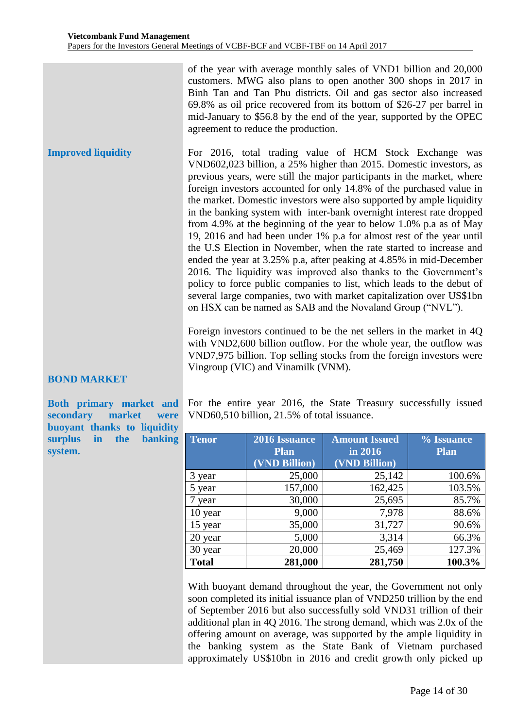of the year with average monthly sales of VND1 billion and 20,000 customers. MWG also plans to open another 300 shops in 2017 in Binh Tan and Tan Phu districts. Oil and gas sector also increased 69.8% as oil price recovered from its bottom of \$26-27 per barrel in mid-January to \$56.8 by the end of the year, supported by the OPEC agreement to reduce the production.

**Improved liquidity**  For 2016, total trading value of HCM Stock Exchange was VND602,023 billion, a 25% higher than 2015. Domestic investors, as previous years, were still the major participants in the market, where foreign investors accounted for only 14.8% of the purchased value in the market. Domestic investors were also supported by ample liquidity in the banking system with inter-bank overnight interest rate dropped from 4.9% at the beginning of the year to below 1.0% p.a as of May 19, 2016 and had been under 1% p.a for almost rest of the year until the U.S Election in November, when the rate started to increase and ended the year at 3.25% p.a, after peaking at 4.85% in mid-December 2016. The liquidity was improved also thanks to the Government's policy to force public companies to list, which leads to the debut of several large companies, two with market capitalization over US\$1bn on HSX can be named as SAB and the Novaland Group ("NVL").

> Foreign investors continued to be the net sellers in the market in 4Q with VND2,600 billion outflow. For the whole year, the outflow was VND7,975 billion. Top selling stocks from the foreign investors were Vingroup (VIC) and Vinamilk (VNM).

# **BOND MARKET**

**Both primary market and secondary market were buoyant thanks to liquidity surplus in the banking system.**

For the entire year 2016, the State Treasury successfully issued VND60,510 billion, 21.5% of total issuance.

| Tenor        | 2016 Issuance | <b>Amount Issued</b> | % Issuance  |
|--------------|---------------|----------------------|-------------|
|              | <b>Plan</b>   | in 2016              | <b>Plan</b> |
|              | (VND Billion) | (VND Billion)        |             |
| 3 year       | 25,000        | 25,142               | 100.6%      |
| 5 year       | 157,000       | 162,425              | 103.5%      |
| 7 year       | 30,000        | 25,695               | 85.7%       |
| 10 year      | 9,000         | 7,978                | 88.6%       |
| 15 year      | 35,000        | 31,727               | 90.6%       |
| 20 year      | 5,000         | 3,314                | 66.3%       |
| 30 year      | 20,000        | 25,469               | 127.3%      |
| <b>Total</b> | 281,000       | 281,750              | 100.3%      |

With buoyant demand throughout the year, the Government not only soon completed its initial issuance plan of VND250 trillion by the end of September 2016 but also successfully sold VND31 trillion of their additional plan in 4Q 2016. The strong demand, which was 2.0x of the offering amount on average, was supported by the ample liquidity in the banking system as the State Bank of Vietnam purchased approximately US\$10bn in 2016 and credit growth only picked up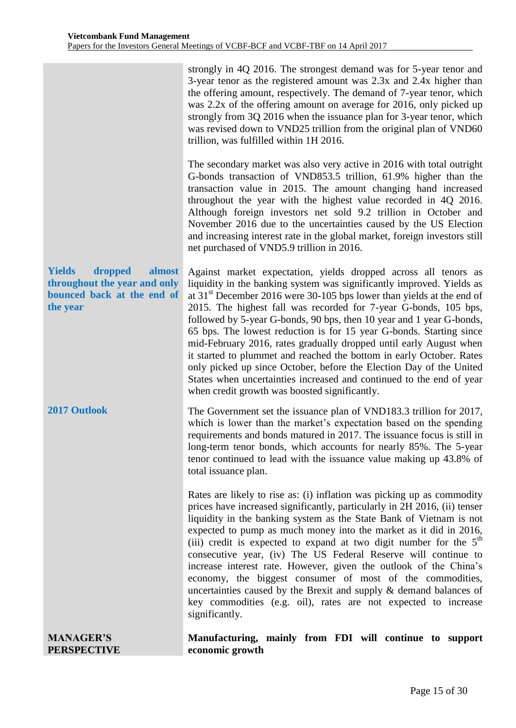| <b>MANAGER'S</b><br><b>PERSPECTIVE</b>                                                                       | Manufacturing, mainly from FDI will continue to support<br>economic growth                                                                                                                                                                                                                                                                                                                                                                                                                                                                                                                                                                                                                                                                                                           |
|--------------------------------------------------------------------------------------------------------------|--------------------------------------------------------------------------------------------------------------------------------------------------------------------------------------------------------------------------------------------------------------------------------------------------------------------------------------------------------------------------------------------------------------------------------------------------------------------------------------------------------------------------------------------------------------------------------------------------------------------------------------------------------------------------------------------------------------------------------------------------------------------------------------|
|                                                                                                              | Rates are likely to rise as: (i) inflation was picking up as commodity<br>prices have increased significantly, particularly in 2H 2016, (ii) tenser<br>liquidity in the banking system as the State Bank of Vietnam is not<br>expected to pump as much money into the market as it did in 2016,<br>(iii) credit is expected to expand at two digit number for the $5th$<br>consecutive year, (iv) The US Federal Reserve will continue to<br>increase interest rate. However, given the outlook of the China's<br>economy, the biggest consumer of most of the commodities,<br>uncertainties caused by the Brexit and supply & demand balances of<br>key commodities (e.g. oil), rates are not expected to increase<br>significantly.                                                |
| 2017 Outlook                                                                                                 | The Government set the issuance plan of VND183.3 trillion for 2017,<br>which is lower than the market's expectation based on the spending<br>requirements and bonds matured in 2017. The issuance focus is still in<br>long-term tenor bonds, which accounts for nearly 85%. The 5-year<br>tenor continued to lead with the issuance value making up 43.8% of<br>total issuance plan.                                                                                                                                                                                                                                                                                                                                                                                                |
| <b>Yields</b><br>dropped<br>almost<br>throughout the year and only<br>bounced back at the end of<br>the year | Against market expectation, yields dropped across all tenors as<br>liquidity in the banking system was significantly improved. Yields as<br>at $31st$ December 2016 were 30-105 bps lower than yields at the end of<br>2015. The highest fall was recorded for 7-year G-bonds, 105 bps,<br>followed by 5-year G-bonds, 90 bps, then 10 year and 1 year G-bonds,<br>65 bps. The lowest reduction is for 15 year G-bonds. Starting since<br>mid-February 2016, rates gradually dropped until early August when<br>it started to plummet and reached the bottom in early October. Rates<br>only picked up since October, before the Election Day of the United<br>States when uncertainties increased and continued to the end of year<br>when credit growth was boosted significantly. |
|                                                                                                              | The secondary market was also very active in 2016 with total outright<br>G-bonds transaction of VND853.5 trillion, 61.9% higher than the<br>transaction value in 2015. The amount changing hand increased<br>throughout the year with the highest value recorded in $4Q$ 2016.<br>Although foreign investors net sold 9.2 trillion in October and<br>November 2016 due to the uncertainties caused by the US Election<br>and increasing interest rate in the global market, foreign investors still<br>net purchased of VND5.9 trillion in 2016.                                                                                                                                                                                                                                     |
|                                                                                                              | strongly in 4Q 2016. The strongest demand was for 5-year tenor and<br>3-year tenor as the registered amount was $2.3x$ and $2.4x$ higher than<br>the offering amount, respectively. The demand of 7-year tenor, which<br>was 2.2x of the offering amount on average for 2016, only picked up<br>strongly from 3Q 2016 when the issuance plan for 3-year tenor, which<br>was revised down to VND25 trillion from the original plan of VND60<br>trillion, was fulfilled within 1H 2016.                                                                                                                                                                                                                                                                                                |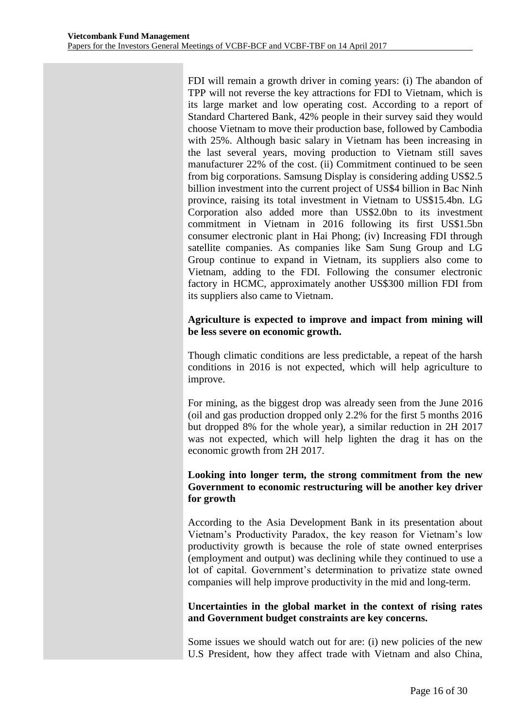FDI will remain a growth driver in coming years: (i) The abandon of TPP will not reverse the key attractions for FDI to Vietnam, which is its large market and low operating cost. According to a report of Standard Chartered Bank, 42% people in their survey said they would choose Vietnam to move their production base, followed by Cambodia with 25%. Although basic salary in Vietnam has been increasing in the last several years, moving production to Vietnam still saves manufacturer 22% of the cost. (ii) Commitment continued to be seen from big corporations. Samsung Display is considering adding US\$2.5 billion investment into the current project of US\$4 billion in Bac Ninh province, raising its total investment in Vietnam to US\$15.4bn. LG Corporation also added more than US\$2.0bn to its investment commitment in Vietnam in 2016 following its first US\$1.5bn consumer electronic plant in Hai Phong; (iv) Increasing FDI through satellite companies. As companies like Sam Sung Group and LG Group continue to expand in Vietnam, its suppliers also come to Vietnam, adding to the FDI. Following the consumer electronic factory in HCMC, approximately another US\$300 million FDI from its suppliers also came to Vietnam.

## **Agriculture is expected to improve and impact from mining will be less severe on economic growth.**

Though climatic conditions are less predictable, a repeat of the harsh conditions in 2016 is not expected, which will help agriculture to improve.

For mining, as the biggest drop was already seen from the June 2016 (oil and gas production dropped only 2.2% for the first 5 months 2016 but dropped 8% for the whole year), a similar reduction in 2H 2017 was not expected, which will help lighten the drag it has on the economic growth from 2H 2017.

## **Looking into longer term, the strong commitment from the new Government to economic restructuring will be another key driver for growth**

According to the Asia Development Bank in its presentation about Vietnam's Productivity Paradox, the key reason for Vietnam's low productivity growth is because the role of state owned enterprises (employment and output) was declining while they continued to use a lot of capital. Government's determination to privatize state owned companies will help improve productivity in the mid and long-term.

# **Uncertainties in the global market in the context of rising rates and Government budget constraints are key concerns.**

Some issues we should watch out for are: (i) new policies of the new U.S President, how they affect trade with Vietnam and also China,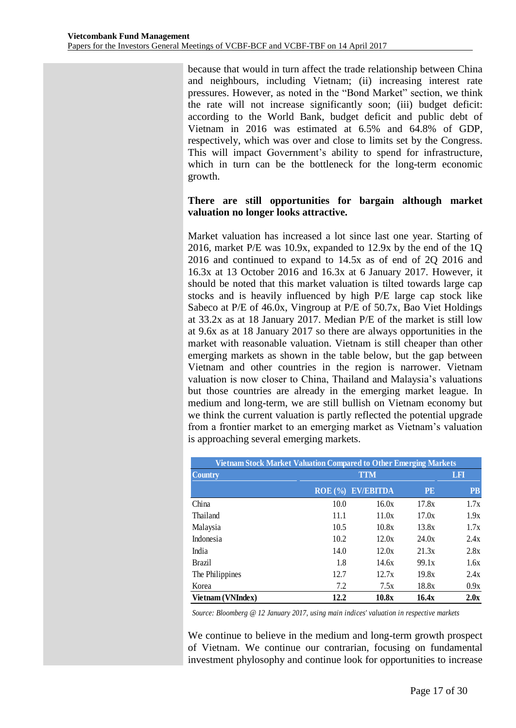because that would in turn affect the trade relationship between China and neighbours, including Vietnam; (ii) increasing interest rate pressures. However, as noted in the "Bond Market" section, we think the rate will not increase significantly soon; (iii) budget deficit: according to the World Bank, budget deficit and public debt of Vietnam in 2016 was estimated at 6.5% and 64.8% of GDP, respectively, which was over and close to limits set by the Congress. This will impact Government's ability to spend for infrastructure, which in turn can be the bottleneck for the long-term economic growth.

# **There are still opportunities for bargain although market valuation no longer looks attractive.**

Market valuation has increased a lot since last one year. Starting of 2016, market P/E was 10.9x, expanded to 12.9x by the end of the 1Q 2016 and continued to expand to 14.5x as of end of 2Q 2016 and 16.3x at 13 October 2016 and 16.3x at 6 January 2017. However, it should be noted that this market valuation is tilted towards large cap stocks and is heavily influenced by high P/E large cap stock like Sabeco at P/E of 46.0x, Vingroup at P/E of 50.7x, Bao Viet Holdings at 33.2x as at 18 January 2017. Median P/E of the market is still low at 9.6x as at 18 January 2017 so there are always opportunities in the market with reasonable valuation. Vietnam is still cheaper than other emerging markets as shown in the table below, but the gap between Vietnam and other countries in the region is narrower. Vietnam valuation is now closer to China, Thailand and Malaysia's valuations but those countries are already in the emerging market league. In medium and long-term, we are still bullish on Vietnam economy but we think the current valuation is partly reflected the potential upgrade from a frontier market to an emerging market as Vietnam's valuation is approaching several emerging markets.

| Vietnam Stock Market Valuation Compared to Other Emerging Markets |         |                  |           |           |  |  |  |
|-------------------------------------------------------------------|---------|------------------|-----------|-----------|--|--|--|
| <b>Country</b>                                                    |         | LFI              |           |           |  |  |  |
|                                                                   | ROE (%) | <b>EV/EBITDA</b> | <b>PE</b> | <b>PB</b> |  |  |  |
| China                                                             | 10.0    | 16.0x            | 17.8x     | 1.7x      |  |  |  |
| Thailand                                                          | 11.1    | 11.0x            | 17.0x     | 1.9x      |  |  |  |
| Malaysia                                                          | 10.5    | 10.8x            | 13.8x     | 1.7x      |  |  |  |
| Indonesia                                                         | 10.2    | 12.0x            | 24.0x     | 2.4x      |  |  |  |
| India                                                             | 14.0    | 12.0x            | 21.3x     | 2.8x      |  |  |  |
| <b>Brazil</b>                                                     | 1.8     | 14.6x            | 99.1x     | 1.6x      |  |  |  |
| The Philippines                                                   | 12.7    | 12.7x            | 19.8x     | 2.4x      |  |  |  |
| Korea                                                             | 7.2     | 7.5x             | 18.8x     | 0.9x      |  |  |  |
| Vietnam (VNIndex)                                                 | 12.2    | 10.8x            | 16.4x     | 2.0x      |  |  |  |

*Source: Bloomberg @ 12 January 2017, using main indices' valuation in respective markets*

We continue to believe in the medium and long-term growth prospect of Vietnam. We continue our contrarian, focusing on fundamental investment phylosophy and continue look for opportunities to increase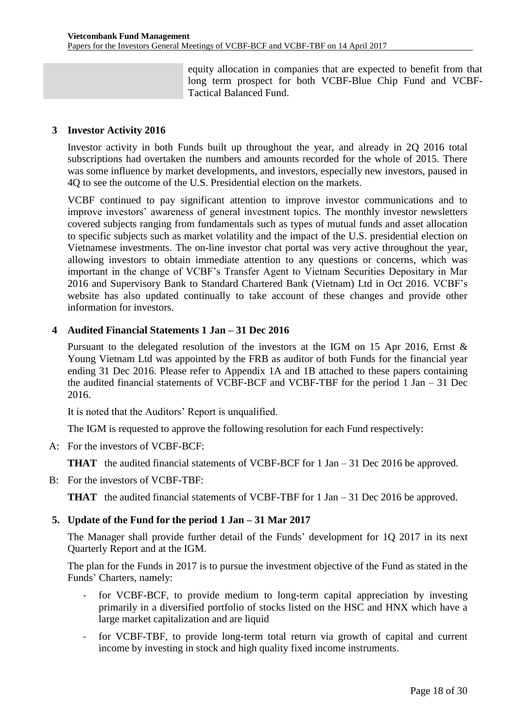equity allocation in companies that are expected to benefit from that long term prospect for both VCBF-Blue Chip Fund and VCBF-Tactical Balanced Fund.

#### <span id="page-17-0"></span>**3 Investor Activity 2016**

Investor activity in both Funds built up throughout the year, and already in 2Q 2016 total subscriptions had overtaken the numbers and amounts recorded for the whole of 2015. There was some influence by market developments, and investors, especially new investors, paused in 4Q to see the outcome of the U.S. Presidential election on the markets.

VCBF continued to pay significant attention to improve investor communications and to improve investors' awareness of general investment topics. The monthly investor newsletters covered subjects ranging from fundamentals such as types of mutual funds and asset allocation to specific subjects such as market volatility and the impact of the U.S. presidential election on Vietnamese investments. The on-line investor chat portal was very active throughout the year, allowing investors to obtain immediate attention to any questions or concerns, which was important in the change of VCBF's Transfer Agent to Vietnam Securities Depositary in Mar 2016 and Supervisory Bank to Standard Chartered Bank (Vietnam) Ltd in Oct 2016. VCBF's website has also updated continually to take account of these changes and provide other information for investors.

#### <span id="page-17-1"></span>**4 Audited Financial Statements 1 Jan – 31 Dec 2016**

Pursuant to the delegated resolution of the investors at the IGM on 15 Apr 2016, Ernst & Young Vietnam Ltd was appointed by the FRB as auditor of both Funds for the financial year ending 31 Dec 2016. Please refer to Appendix 1A and 1B attached to these papers containing the audited financial statements of VCBF-BCF and VCBF-TBF for the period 1 Jan – 31 Dec 2016.

It is noted that the Auditors' Report is unqualified.

The IGM is requested to approve the following resolution for each Fund respectively:

A: For the investors of VCBF-BCF:

**THAT** the audited financial statements of VCBF-BCF for 1 Jan – 31 Dec 2016 be approved.

B: For the investors of VCBF-TBF:

**THAT** the audited financial statements of VCBF-TBF for 1 Jan – 31 Dec 2016 be approved.

# <span id="page-17-2"></span>**5. Update of the Fund for the period 1 Jan – 31 Mar 2017**

The Manager shall provide further detail of the Funds' development for 1Q 2017 in its next Quarterly Report and at the IGM.

The plan for the Funds in 2017 is to pursue the investment objective of the Fund as stated in the Funds' Charters, namely:

- for VCBF-BCF, to provide medium to long-term capital appreciation by investing primarily in a diversified portfolio of stocks listed on the HSC and HNX which have a large market capitalization and are liquid
- for VCBF-TBF, to provide long-term total return via growth of capital and current income by investing in stock and high quality fixed income instruments.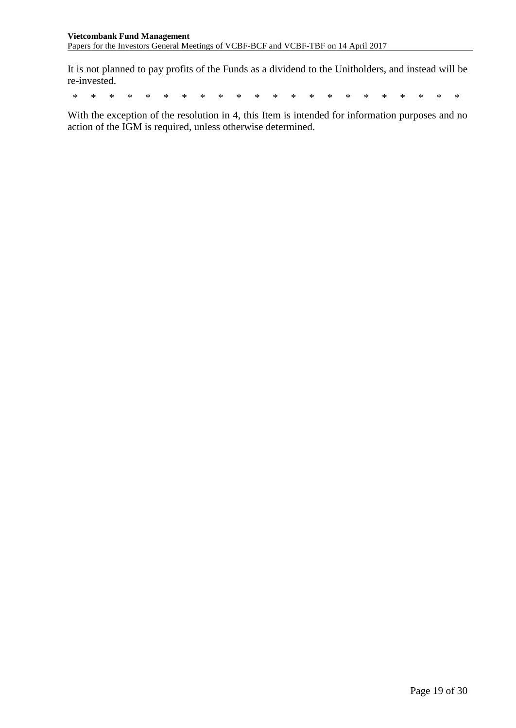It is not planned to pay profits of the Funds as a dividend to the Unitholders, and instead will be re-invested.

\* \* \* \* \* \* \* \* \* \* \* \* \* \* \* \* \* \* \* \* \* \*

With the exception of the resolution in 4, this Item is intended for information purposes and no action of the IGM is required, unless otherwise determined.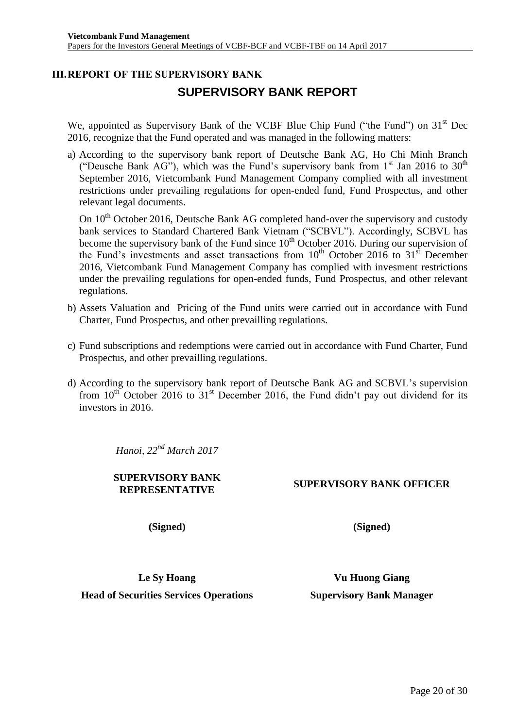# <span id="page-19-0"></span>**III.REPORT OF THE SUPERVISORY BANK SUPERVISORY BANK REPORT**

We, appointed as Supervisory Bank of the VCBF Blue Chip Fund ("the Fund") on 31<sup>st</sup> Dec 2016, recognize that the Fund operated and was managed in the following matters:

a) According to the supervisory bank report of Deutsche Bank AG, Ho Chi Minh Branch ("Deusche Bank AG"), which was the Fund's supervisory bank from  $1<sup>st</sup>$  Jan 2016 to 30<sup>th</sup> September 2016, Vietcombank Fund Management Company complied with all investment restrictions under prevailing regulations for open-ended fund, Fund Prospectus, and other relevant legal documents.

On 10<sup>th</sup> October 2016, Deutsche Bank AG completed hand-over the supervisory and custody bank services to Standard Chartered Bank Vietnam ("SCBVL"). Accordingly, SCBVL has become the supervisory bank of the Fund since  $10^{th}$  October 2016. During our supervision of the Fund's investments and asset transactions from  $10<sup>th</sup>$  October 2016 to 31<sup>st</sup> December 2016, Vietcombank Fund Management Company has complied with invesment restrictions under the prevailing regulations for open-ended funds, Fund Prospectus, and other relevant regulations.

- b) Assets Valuation and Pricing of the Fund units were carried out in accordance with Fund Charter, Fund Prospectus, and other prevailling regulations.
- c) Fund subscriptions and redemptions were carried out in accordance with Fund Charter, Fund Prospectus, and other prevailling regulations.
- d) According to the supervisory bank report of Deutsche Bank AG and SCBVL's supervision from  $10^{th}$  October 2016 to  $31^{st}$  December 2016, the Fund didn't pay out dividend for its investors in 2016.

*Hanoi, 22nd March 2017*

**SUPERVISORY BANK** 

# **REPRESENTATIVE SUPERVISORY BANK OFFICER**

**(Signed)**

**(Signed)**

**Le Sy Hoang Head of Securities Services Operations**

**Vu Huong Giang Supervisory Bank Manager**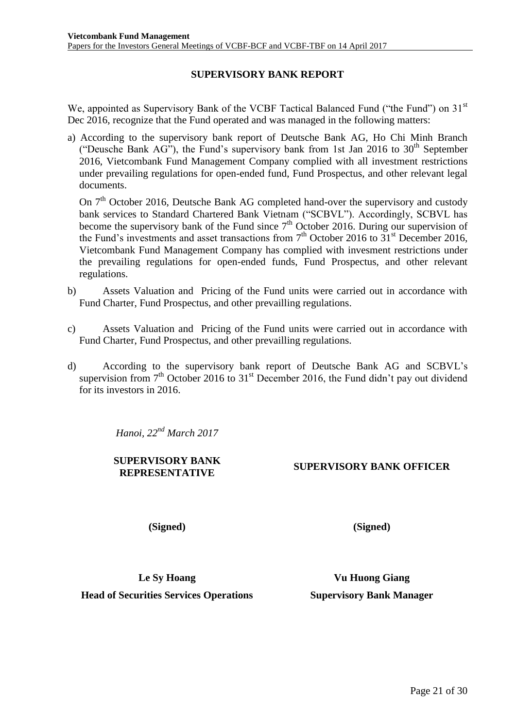# **SUPERVISORY BANK REPORT**

We, appointed as Supervisory Bank of the VCBF Tactical Balanced Fund ("the Fund") on 31<sup>st</sup> Dec 2016, recognize that the Fund operated and was managed in the following matters:

a) According to the supervisory bank report of Deutsche Bank AG, Ho Chi Minh Branch ("Deusche Bank AG"), the Fund's supervisory bank from 1st Jan 2016 to  $30<sup>th</sup>$  September 2016, Vietcombank Fund Management Company complied with all investment restrictions under prevailing regulations for open-ended fund, Fund Prospectus, and other relevant legal documents.

On 7<sup>th</sup> October 2016, Deutsche Bank AG completed hand-over the supervisory and custody bank services to Standard Chartered Bank Vietnam ("SCBVL"). Accordingly, SCBVL has become the supervisory bank of the Fund since  $7<sup>th</sup>$  October 2016. During our supervision of the Fund's investments and asset transactions from  $7<sup>th</sup>$  October 2016 to  $31<sup>st</sup>$  December 2016, Vietcombank Fund Management Company has complied with invesment restrictions under the prevailing regulations for open-ended funds, Fund Prospectus, and other relevant regulations.

- b) Assets Valuation and Pricing of the Fund units were carried out in accordance with Fund Charter, Fund Prospectus, and other prevailling regulations.
- c) Assets Valuation and Pricing of the Fund units were carried out in accordance with Fund Charter, Fund Prospectus, and other prevailling regulations.
- d) According to the supervisory bank report of Deutsche Bank AG and SCBVL's supervision from  $7<sup>th</sup>$  October 2016 to 31<sup>st</sup> December 2016, the Fund didn't pay out dividend for its investors in 2016.

*Hanoi, 22nd March 2017*

# **SUPERVISORY BANK**

**REPRESENTATIVE SUPERVISORY BANK OFFICER**

**(Signed)**

**(Signed)**

**Le Sy Hoang Head of Securities Services Operations**

**Vu Huong Giang Supervisory Bank Manager**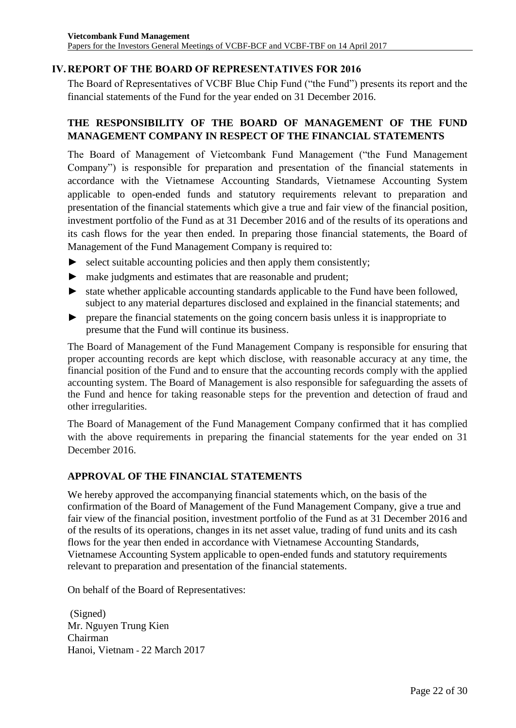# <span id="page-21-0"></span>**IV.REPORT OF THE BOARD OF REPRESENTATIVES FOR 2016**

The Board of Representatives of VCBF Blue Chip Fund ("the Fund") presents its report and the financial statements of the Fund for the year ended on 31 December 2016.

# **THE RESPONSIBILITY OF THE BOARD OF MANAGEMENT OF THE FUND MANAGEMENT COMPANY IN RESPECT OF THE FINANCIAL STATEMENTS**

The Board of Management of Vietcombank Fund Management ("the Fund Management Company") is responsible for preparation and presentation of the financial statements in accordance with the Vietnamese Accounting Standards, Vietnamese Accounting System applicable to open-ended funds and statutory requirements relevant to preparation and presentation of the financial statements which give a true and fair view of the financial position, investment portfolio of the Fund as at 31 December 2016 and of the results of its operations and its cash flows for the year then ended. In preparing those financial statements, the Board of Management of the Fund Management Company is required to:

- $\blacktriangleright$  select suitable accounting policies and then apply them consistently;
- ► make judgments and estimates that are reasonable and prudent;
- ► state whether applicable accounting standards applicable to the Fund have been followed, subject to any material departures disclosed and explained in the financial statements; and
- ► prepare the financial statements on the going concern basis unless it is inappropriate to presume that the Fund will continue its business.

The Board of Management of the Fund Management Company is responsible for ensuring that proper accounting records are kept which disclose, with reasonable accuracy at any time, the financial position of the Fund and to ensure that the accounting records comply with the applied accounting system. The Board of Management is also responsible for safeguarding the assets of the Fund and hence for taking reasonable steps for the prevention and detection of fraud and other irregularities.

The Board of Management of the Fund Management Company confirmed that it has complied with the above requirements in preparing the financial statements for the year ended on 31 December 2016.

# **APPROVAL OF THE FINANCIAL STATEMENTS**

We hereby approved the accompanying financial statements which, on the basis of the confirmation of the Board of Management of the Fund Management Company, give a true and fair view of the financial position, investment portfolio of the Fund as at 31 December 2016 and of the results of its operations, changes in its net asset value, trading of fund units and its cash flows for the year then ended in accordance with Vietnamese Accounting Standards, Vietnamese Accounting System applicable to open-ended funds and statutory requirements relevant to preparation and presentation of the financial statements.

On behalf of the Board of Representatives:

(Signed) Mr. Nguyen Trung Kien Chairman Hanoi, Vietnam - 22 March 2017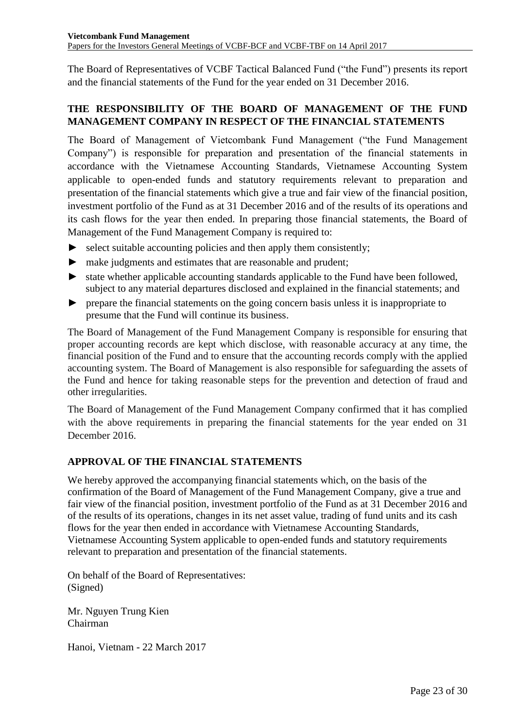The Board of Representatives of VCBF Tactical Balanced Fund ("the Fund") presents its report and the financial statements of the Fund for the year ended on 31 December 2016.

# **THE RESPONSIBILITY OF THE BOARD OF MANAGEMENT OF THE FUND MANAGEMENT COMPANY IN RESPECT OF THE FINANCIAL STATEMENTS**

The Board of Management of Vietcombank Fund Management ("the Fund Management Company") is responsible for preparation and presentation of the financial statements in accordance with the Vietnamese Accounting Standards, Vietnamese Accounting System applicable to open-ended funds and statutory requirements relevant to preparation and presentation of the financial statements which give a true and fair view of the financial position, investment portfolio of the Fund as at 31 December 2016 and of the results of its operations and its cash flows for the year then ended. In preparing those financial statements, the Board of Management of the Fund Management Company is required to:

- $\triangleright$  select suitable accounting policies and then apply them consistently;
- ► make judgments and estimates that are reasonable and prudent;
- ► state whether applicable accounting standards applicable to the Fund have been followed, subject to any material departures disclosed and explained in the financial statements; and
- ► prepare the financial statements on the going concern basis unless it is inappropriate to presume that the Fund will continue its business.

The Board of Management of the Fund Management Company is responsible for ensuring that proper accounting records are kept which disclose, with reasonable accuracy at any time, the financial position of the Fund and to ensure that the accounting records comply with the applied accounting system. The Board of Management is also responsible for safeguarding the assets of the Fund and hence for taking reasonable steps for the prevention and detection of fraud and other irregularities.

The Board of Management of the Fund Management Company confirmed that it has complied with the above requirements in preparing the financial statements for the year ended on 31 December 2016.

# **APPROVAL OF THE FINANCIAL STATEMENTS**

We hereby approved the accompanying financial statements which, on the basis of the confirmation of the Board of Management of the Fund Management Company, give a true and fair view of the financial position, investment portfolio of the Fund as at 31 December 2016 and of the results of its operations, changes in its net asset value, trading of fund units and its cash flows for the year then ended in accordance with Vietnamese Accounting Standards, Vietnamese Accounting System applicable to open-ended funds and statutory requirements relevant to preparation and presentation of the financial statements.

On behalf of the Board of Representatives: (Signed)

Mr. Nguyen Trung Kien Chairman

Hanoi, Vietnam - 22 March 2017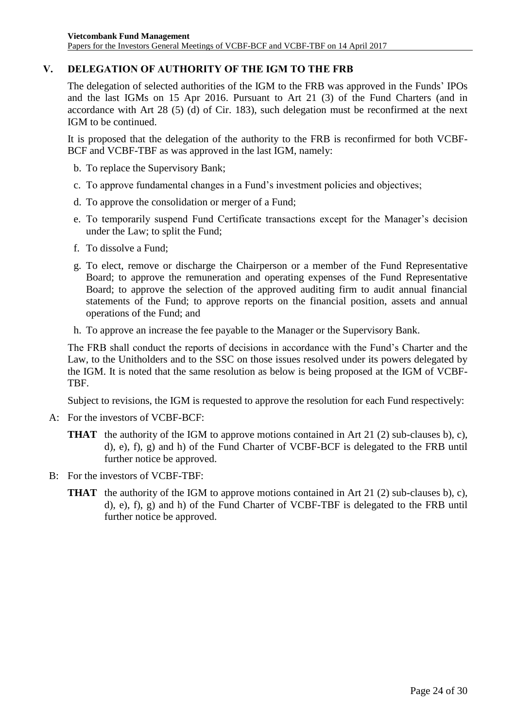# <span id="page-23-0"></span>**V. DELEGATION OF AUTHORITY OF THE IGM TO THE FRB**

The delegation of selected authorities of the IGM to the FRB was approved in the Funds' IPOs and the last IGMs on 15 Apr 2016. Pursuant to Art 21 (3) of the Fund Charters (and in accordance with Art 28 (5) (d) of Cir. 183), such delegation must be reconfirmed at the next IGM to be continued.

It is proposed that the delegation of the authority to the FRB is reconfirmed for both VCBF-BCF and VCBF-TBF as was approved in the last IGM, namely:

- b. To replace the Supervisory Bank;
- c. To approve fundamental changes in a Fund's investment policies and objectives;
- d. To approve the consolidation or merger of a Fund;
- e. To temporarily suspend Fund Certificate transactions except for the Manager's decision under the Law; to split the Fund;
- f. To dissolve a Fund;
- g. To elect, remove or discharge the Chairperson or a member of the Fund Representative Board; to approve the remuneration and operating expenses of the Fund Representative Board; to approve the selection of the approved auditing firm to audit annual financial statements of the Fund; to approve reports on the financial position, assets and annual operations of the Fund; and
- h. To approve an increase the fee payable to the Manager or the Supervisory Bank.

The FRB shall conduct the reports of decisions in accordance with the Fund's Charter and the Law, to the Unitholders and to the SSC on those issues resolved under its powers delegated by the IGM. It is noted that the same resolution as below is being proposed at the IGM of VCBF-TBF.

Subject to revisions, the IGM is requested to approve the resolution for each Fund respectively:

- A: For the investors of VCBF-BCF:
	- **THAT** the authority of the IGM to approve motions contained in Art 21 (2) sub-clauses b), c), d), e), f), g) and h) of the Fund Charter of VCBF-BCF is delegated to the FRB until further notice be approved.
- B: For the investors of VCBF-TBF:
	- **THAT** the authority of the IGM to approve motions contained in Art 21 (2) sub-clauses b), c), d), e), f), g) and h) of the Fund Charter of VCBF-TBF is delegated to the FRB until further notice be approved.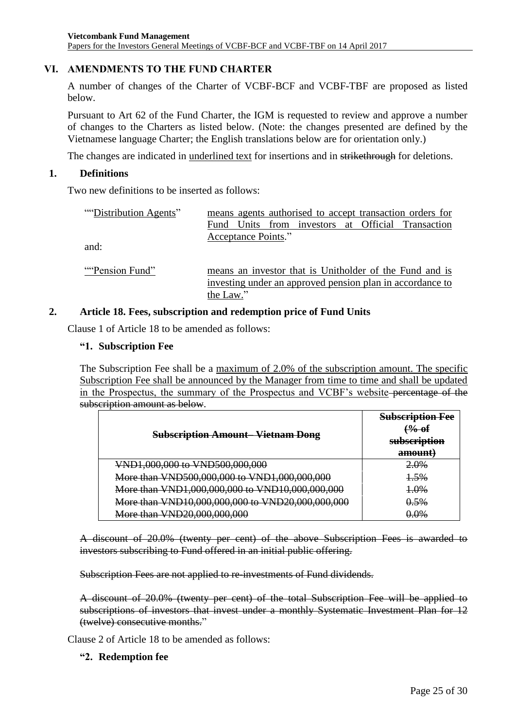# <span id="page-24-0"></span>**VI. AMENDMENTS TO THE FUND CHARTER**

A number of changes of the Charter of VCBF-BCF and VCBF-TBF are proposed as listed below.

Pursuant to Art 62 of the Fund Charter, the IGM is requested to review and approve a number of changes to the Charters as listed below. (Note: the changes presented are defined by the Vietnamese language Charter; the English translations below are for orientation only.)

The changes are indicated in underlined text for insertions and in strikethrough for deletions.

#### **1. Definitions**

Two new definitions to be inserted as follows:

| "Distribution Agents" |                                                           |                     |  |  |  | means agents authorised to accept transaction orders for |
|-----------------------|-----------------------------------------------------------|---------------------|--|--|--|----------------------------------------------------------|
|                       |                                                           |                     |  |  |  | Fund Units from investors at Official Transaction        |
|                       |                                                           | Acceptance Points." |  |  |  |                                                          |
| and:                  |                                                           |                     |  |  |  |                                                          |
|                       |                                                           |                     |  |  |  |                                                          |
| "Pension Fund"        | means an investor that is Unitholder of the Fund and is   |                     |  |  |  |                                                          |
|                       | investing under an approved pension plan in accordance to |                     |  |  |  |                                                          |

#### **2. Article 18. Fees, subscription and redemption price of Fund Units**

the Law."

Clause 1 of Article 18 to be amended as follows:

#### **"1. Subscription Fee**

The Subscription Fee shall be a maximum of 2.0% of the subscription amount. The specific Subscription Fee shall be announced by the Manager from time to time and shall be updated in the Prospectus, the summary of the Prospectus and VCBF's website percentage of the subscription amount as below.

| <b>Subscription Amount–Vietnam Dong</b>          | <b>Subscription Fee</b><br><del>% of</del><br>subscription |  |
|--------------------------------------------------|------------------------------------------------------------|--|
|                                                  | amount)                                                    |  |
| VND1,000,000 to VND500,000,000                   | <del>2.0%</del>                                            |  |
| More than VND500,000,000 to VND1,000,000,000     | 1.5%                                                       |  |
| More than VND1,000,000,000 to VND10,000,000,000  | $4.0\%$                                                    |  |
| More than VND10,000,000,000 to VND20,000,000,000 | 0.5%                                                       |  |
| More than VND20,000,000,000                      | $20\&$                                                     |  |

A discount of 20.0% (twenty per cent) of the above Subscription Fees is awarded to investors subscribing to Fund offered in an initial public offering.

Subscription Fees are not applied to re-investments of Fund dividends.

A discount of 20.0% (twenty per cent) of the total Subscription Fee will be applied to subscriptions of investors that invest under a monthly Systematic Investment Plan for 12 (twelve) consecutive months."

Clause 2 of Article 18 to be amended as follows:

#### **"2. Redemption fee**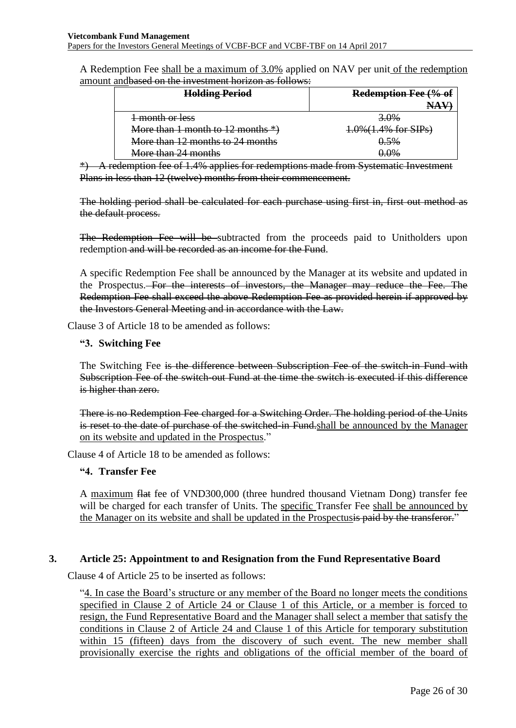A Redemption Fee shall be a maximum of 3.0% applied on NAV per unit of the redemption amount andbased on the investment horizon as follows:

| <b>Holding Period</b>                  | Redemption Fee (% of    |  |  |  |
|----------------------------------------|-------------------------|--|--|--|
|                                        |                         |  |  |  |
| 1 month or less                        | 3.0%                    |  |  |  |
| More than 1 month to $12$ months $*$ ) | $4.0\%$ (1.4% for SIPs) |  |  |  |
| More than 12 months to 24 months       | 0.5%                    |  |  |  |
| More than 24 months                    | $0.0\%$                 |  |  |  |

\*) A redemption fee of 1.4% applies for redemptions made from Systematic Investment Plans in less than 12 (twelve) months from their commencement.

The holding period shall be calculated for each purchase using first in, first out method as the default process.

The Redemption Fee will be subtracted from the proceeds paid to Unitholders upon redemption and will be recorded as an income for the Fund.

A specific Redemption Fee shall be announced by the Manager at its website and updated in the Prospectus. For the interests of investors, the Manager may reduce the Fee. The Redemption Fee shall exceed the above Redemption Fee as provided herein if approved by the Investors General Meeting and in accordance with the Law.

Clause 3 of Article 18 to be amended as follows:

#### **"3. Switching Fee**

The Switching Fee is the difference between Subscription Fee of the switch-in Fund with Subscription Fee of the switch-out Fund at the time the switch is executed if this difference is higher than zero.

There is no Redemption Fee charged for a Switching Order. The holding period of the Units is reset to the date of purchase of the switched-in Fund-shall be announced by the Manager on its website and updated in the Prospectus."

Clause 4 of Article 18 to be amended as follows:

#### **"4. Transfer Fee**

A maximum flat fee of VND300,000 (three hundred thousand Vietnam Dong) transfer fee will be charged for each transfer of Units. The specific Transfer Fee shall be announced by the Manager on its website and shall be updated in the Prospectusis paid by the transferor."

#### **3. Article 25: Appointment to and Resignation from the Fund Representative Board**

Clause 4 of Article 25 to be inserted as follows:

"4. In case the Board's structure or any member of the Board no longer meets the conditions specified in Clause 2 of Article 24 or Clause 1 of this Article, or a member is forced to resign, the Fund Representative Board and the Manager shall select a member that satisfy the conditions in Clause 2 of Article 24 and Clause 1 of this Article for temporary substitution within 15 (fifteen) days from the discovery of such event. The new member shall provisionally exercise the rights and obligations of the official member of the board of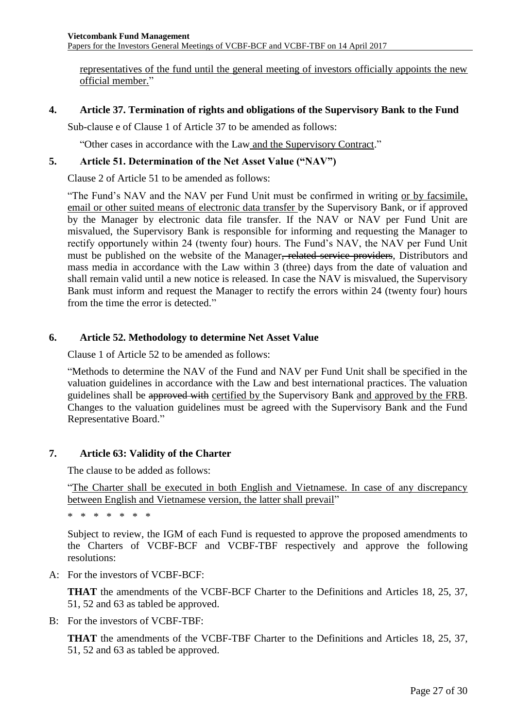representatives of the fund until the general meeting of investors officially appoints the new official member."

#### **4. Article 37. Termination of rights and obligations of the Supervisory Bank to the Fund**

Sub-clause e of Clause 1 of Article 37 to be amended as follows:

"Other cases in accordance with the Law and the Supervisory Contract."

#### **5. Article 51. Determination of the Net Asset Value ("NAV")**

Clause 2 of Article 51 to be amended as follows:

"The Fund's NAV and the NAV per Fund Unit must be confirmed in writing or by facsimile, email or other suited means of electronic data transfer by the Supervisory Bank, or if approved by the Manager by electronic data file transfer. If the NAV or NAV per Fund Unit are misvalued, the Supervisory Bank is responsible for informing and requesting the Manager to rectify opportunely within 24 (twenty four) hours. The Fund's NAV, the NAV per Fund Unit must be published on the website of the Manager, related service providers, Distributors and mass media in accordance with the Law within 3 (three) days from the date of valuation and shall remain valid until a new notice is released. In case the NAV is misvalued, the Supervisory Bank must inform and request the Manager to rectify the errors within 24 (twenty four) hours from the time the error is detected."

#### **6. Article 52. Methodology to determine Net Asset Value**

Clause 1 of Article 52 to be amended as follows:

"Methods to determine the NAV of the Fund and NAV per Fund Unit shall be specified in the valuation guidelines in accordance with the Law and best international practices. The valuation guidelines shall be approved with certified by the Supervisory Bank and approved by the FRB. Changes to the valuation guidelines must be agreed with the Supervisory Bank and the Fund Representative Board."

#### **7. Article 63: Validity of the Charter**

The clause to be added as follows:

"The Charter shall be executed in both English and Vietnamese. In case of any discrepancy between English and Vietnamese version, the latter shall prevail"

\* \* \* \* \* \* \*

Subject to review, the IGM of each Fund is requested to approve the proposed amendments to the Charters of VCBF-BCF and VCBF-TBF respectively and approve the following resolutions:

A: For the investors of VCBF-BCF:

**THAT** the amendments of the VCBF-BCF Charter to the Definitions and Articles 18, 25, 37, 51, 52 and 63 as tabled be approved.

B: For the investors of VCBF-TBF:

**THAT** the amendments of the VCBF-TBF Charter to the Definitions and Articles 18, 25, 37, 51, 52 and 63 as tabled be approved.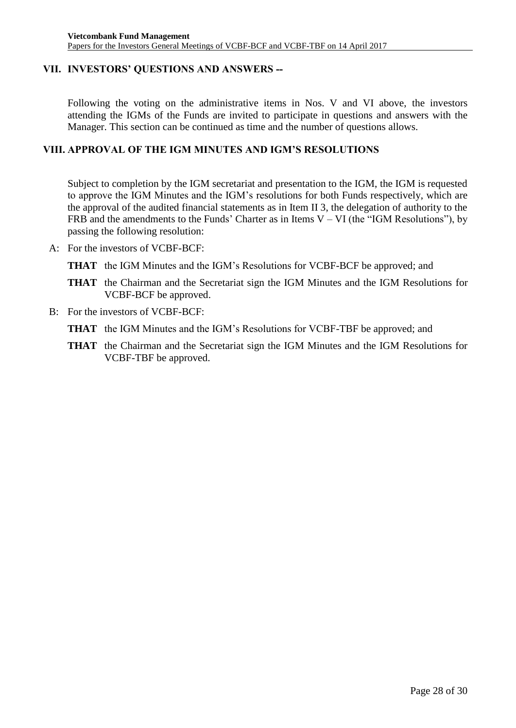# <span id="page-27-0"></span>**VII. INVESTORS' QUESTIONS AND ANSWERS --**

Following the voting on the administrative items in Nos. V and VI above, the investors attending the IGMs of the Funds are invited to participate in questions and answers with the Manager. This section can be continued as time and the number of questions allows.

# <span id="page-27-1"></span>**VIII. APPROVAL OF THE IGM MINUTES AND IGM'S RESOLUTIONS**

Subject to completion by the IGM secretariat and presentation to the IGM, the IGM is requested to approve the IGM Minutes and the IGM's resolutions for both Funds respectively, which are the approval of the audited financial statements as in Item II 3, the delegation of authority to the FRB and the amendments to the Funds' Charter as in Items  $V - VI$  (the "IGM Resolutions"), by passing the following resolution:

- A: For the investors of VCBF-BCF:
	- **THAT** the IGM Minutes and the IGM's Resolutions for VCBF-BCF be approved; and
	- **THAT** the Chairman and the Secretariat sign the IGM Minutes and the IGM Resolutions for VCBF-BCF be approved.
- B: For the investors of VCBF-BCF:
	- **THAT** the IGM Minutes and the IGM's Resolutions for VCBF-TBF be approved; and
	- **THAT** the Chairman and the Secretariat sign the IGM Minutes and the IGM Resolutions for VCBF-TBF be approved.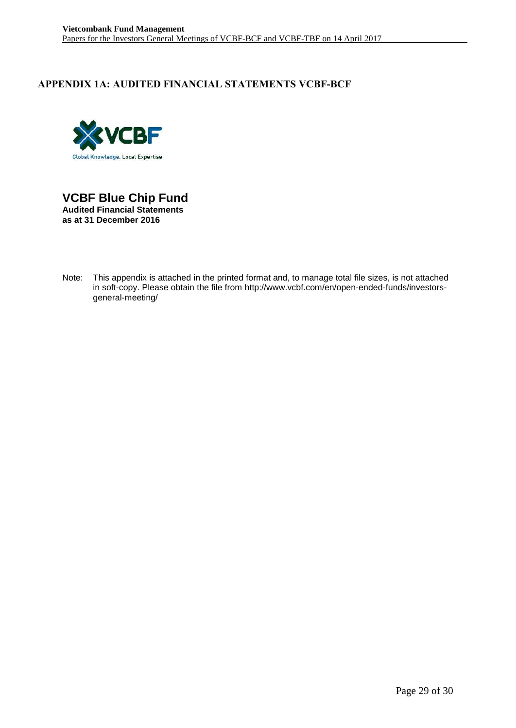# <span id="page-28-0"></span>**APPENDIX 1A: AUDITED FINANCIAL STATEMENTS VCBF-BCF**



**VCBF Blue Chip Fund Audited Financial Statements as at 31 December 2016**

Note: This appendix is attached in the printed format and, to manage total file sizes, is not attached in soft-copy. Please obtain the file from http://www.vcbf.com/en/open-ended-funds/investorsgeneral-meeting/